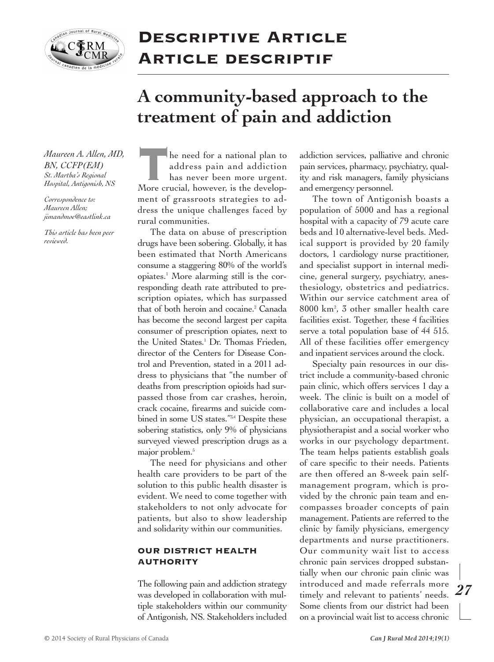

## **Descriptive Article Article descriptif**

# **A community-based approach to the treatment of pain and addiction**

*Maureen A. Allen, MD, BN, CCFP(EM) St. Martha's Regional Hospital, Antigonish, NS*

*Correspondence to: Maureen Allen; jimandmoe@eastlink.ca*

*This article has been peer reviewed.*

**the need for a national plan to**<br>
address pain and addiction<br>
has never been more urgent.<br>
More crucial, however, is the developaddress pain and addiction has never been more urgent. ment of grassroots strategies to address the unique challenges faced by rural communities.

The data on abuse of prescription drugs have been sobering. Globally, it has been estimated that North Americans consume a staggering 80% of the world's opiates. <sup>1</sup> More alarming still is the corresponding death rate attributed to prescription opiates, which has surpassed that of both heroin and cocaine. <sup>2</sup> Canada has become the second largest per capita consumer of prescription opiates, next to the United States. <sup>1</sup> Dr. Thomas Frieden, director of the Centers for Disease Control and Prevention, stated in a 2011 address to physicians that "the number of deaths from prescription opioids had surpassed those from car crashes, heroin, crack cocaine, firearms and suicide combined in some US states."<sup>3,4</sup> Despite these sobering statistics, only 9% of physicians surveyed viewed prescription drugs as a major problem. 5

The need for physicians and other health care providers to be part of the solution to this public health disaster is evident. We need to come together with stakeholders to not only advocate for patients, but also to show leadership and solidarity within our communities.

#### **OUR DISTRICT HEALTH AUTHORITY**

The following pain and addiction strategy was developed in collaboration with multiple stakeholders within our community of Antigonish, NS. Stakeholders included

addiction services, palliative and chronic pain services, pharmacy, psychiatry, quality and risk managers, family physicians and emergency personnel.

The town of Antigonish boasts a population of 5000 and has a regional hospital with a capacity of 79 acute care beds and 10 alternative-level beds. Medical support is provided by 20 family doctors, 1 cardiology nurse practitioner, and specialist support in internal medicine, general surgery, psychiatry, anesthesiology, obstetrics and pediatrics. Within our service catchment area of 8000 km2 , 3 other smaller health care facilities exist. Together, these 4 facilities serve a total population base of 44 515. All of these facilities offer emergency and inpatient services around the clock.

Specialty pain resources in our district include a community-based chronic pain clinic, which offers services 1 day a week. The clinic is built on a model of collaborative care and includes a local physician, an occupational therapist, a physiotherapist and a social worker who works in our psychology department. The team helps patients establish goals of care specific to their needs. Patients are then offered an 8-week pain selfmanagement program, which is provided by the chronic pain team and encompasses broader concepts of pain management. Patients are referred to the clinic by family physicians, emergency departments and nurse practitioners. Our community wait list to access chronic pain services dropped substantially when our chronic pain clinic was introduced and made referrals more timely and relevant to patients' needs. Some clients from our district had been on a provincial wait list to access chronic

*27*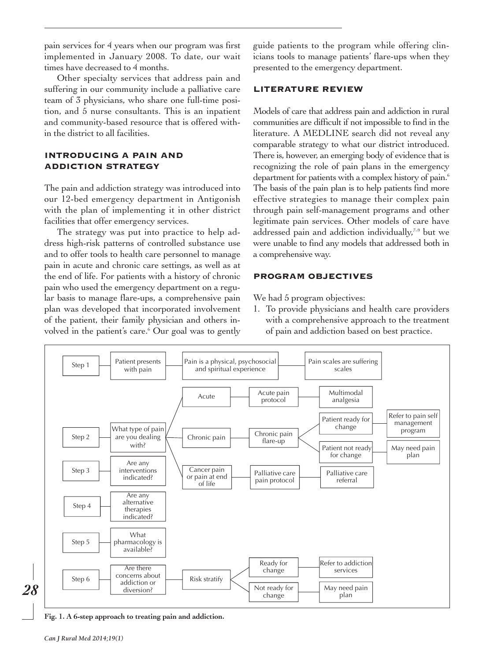pain services for 4 years when our program was first implemented in January 2008. To date, our wait times have decreased to 4 months.

Other specialty services that address pain and suffering in our community include a palliative care team of 3 physicians, who share one full-time position, and 5 nurse consultants. This is an inpatient and community-based resource that is offered within the district to all facilities.

### **INTRODUCING A PAIN AND ADDICTION STRATEGY**

The pain and addiction strategy was introduced into our 12-bed emergency department in Antigonish with the plan of implementing it in other district facilities that offer emergency services.

The strategy was put into practice to help address high-risk patterns of controlled substance use and to offer tools to health care personnel to manage pain in acute and chronic care settings, as well as at the end of life. For patients with a history of chronic pain who used the emergency department on a regular basis to manage flare-ups, a comprehensive pain plan was developed that incorporated involvement of the patient, their family physician and others involved in the patient's care. <sup>6</sup> Our goal was to gently guide patients to the program while offering clinicians tools to manage patients' flare-ups when they presented to the emergency department.

#### **LITERATURE REVIEW**

Models of care that address pain and addiction in rural communities are difficult if not impossible to find in the literature. A MEDLINE search did not reveal any comparable strategy to what our district introduced. There is, however, an emerging body of evidence that is recognizing the role of pain plans in the emergency department for patients with a complex history of pain. 6 The basis of the pain plan is to help patients find more effective strategies to manage their complex pain through pain self-management programs and other legitimate pain services. Other models of care have addressed pain and addiction individually, 7–9 but we were unable to find any models that addressed both in a comprehensive way.

#### **PROGRAM OBJECTIVES**

We had 5 program objectives:

1. To provide physicians and health care providers with a comprehensive approach to the treatment of pain and addiction based on best practice.



**Fig. 1. A 6-step approach to treating pain and addiction.**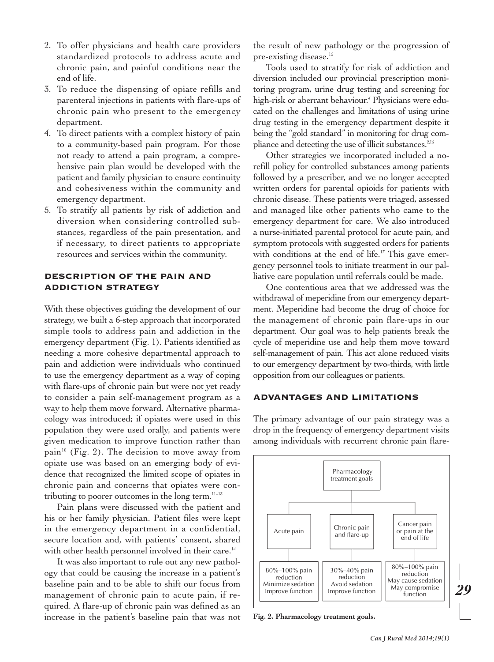- 2. To offer physicians and health care providers standardized protocols to address acute and chronic pain, and painful conditions near the end of life.
- 3. To reduce the dispensing of opiate refills and parenteral injections in patients with flare-ups of chronic pain who present to the emergency department.
- 4. To direct patients with a complex history of pain to a community-based pain program. For those not ready to attend a pain program, a comprehensive pain plan would be developed with the patient and family physician to ensure continuity and cohesiveness within the community and emergency department.
- 5. To stratify all patients by risk of addiction and diversion when considering controlled substances, regardless of the pain presentation, and if necessary, to direct patients to appropriate resources and services within the community.

#### **DESCRIPTION OF THE PAIN AND ADDICTION STRATEGY**

With these objectives guiding the development of our strategy, we built a 6-step approach that incorporated simple tools to address pain and addiction in the emergency department (Fig. 1). Patients identified as needing a more cohesive departmental approach to pain and addiction were individuals who continued to use the emergency department as a way of coping with flare-ups of chronic pain but were not yet ready to consider a pain self-management program as a way to help them move forward. Alternative pharmacology was introduced; if opiates were used in this population they were used orally, and patients were given medication to improve function rather than pain<sup>10</sup> (Fig. 2). The decision to move away from opiate use was based on an emerging body of evidence that recognized the limited scope of opiates in chronic pain and concerns that opiates were contributing to poorer outcomes in the long term. 11–13

Pain plans were discussed with the patient and his or her family physician. Patient files were kept in the emergency department in a confidential, secure location and, with patients' consent, shared with other health personnel involved in their care.<sup>14</sup>

It was also important to rule out any new pathology that could be causing the increase in a patient's baseline pain and to be able to shift our focus from management of chronic pain to acute pain, if required. A flare-up of chronic pain was defined as an increase in the patient's baseline pain that was not the result of new pathology or the progression of pre-existing disease. 15

Tools used to stratify for risk of addiction and diversion included our provincial prescription monitoring program, urine drug testing and screening for high-risk or aberrant behaviour. <sup>4</sup> Physicians were educated on the challenges and limitations of using urine drug testing in the emergency department despite it being the "gold standard" in monitoring for drug compliance and detecting the use of illicit substances.<sup>2,16</sup>

Other strategies we incorporated included a norefill policy for controlled substances among patients followed by a prescriber, and we no longer accepted written orders for parental opioids for patients with chronic disease. These patients were triaged, assessed and managed like other patients who came to the emergency department for care. We also introduced a nurse-initiated parental protocol for acute pain, and symptom protocols with suggested orders for patients with conditions at the end of life. <sup>17</sup> This gave emergency personnel tools to initiate treatment in our palliative care population until referrals could be made.

One contentious area that we addressed was the withdrawal of meperidine from our emergency department. Meperidine had become the drug of choice for the management of chronic pain flare-ups in our department. Our goal was to help patients break the cycle of meperidine use and help them move toward self-management of pain. This act alone reduced visits to our emergency department by two-thirds, with little opposition from our colleagues or patients.

#### **ADVANTAGES AND LIMITATIONS**

The primary advantage of our pain strategy was a drop in the frequency of emergency department visits among individuals with recurrent chronic pain flare-



**Fig. 2. Pharmacology treatment goals.**